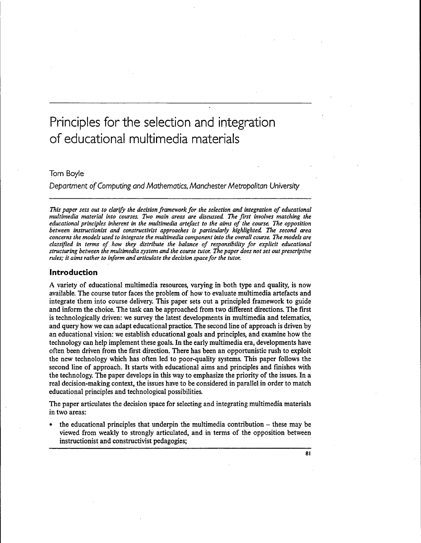# Principles for the selection and integration of educational multimedia materials

# Tom Boyle

Department of Computing and Mathematics, Manchester Metropolitan University

*This paper sets out to clarify the decision framework for the selection and integration of educational multimedia material into courses. Two main areas are discussed. The first involves matching the educational principles inherent in the multimedia artefact to the aims of the course. The opposition between instructionist and constructivist approaches is particularly highlighted. The second area concerns the models used to integrate the multimedia component into the overall course. The models are classified in terms of how they distribute the balance of responsibility for explicit educational structuring between the multimedia system and the course tutor. The paper does not set out prescriptive rules; it aims rather to inform and articulate the decision space for the tutor.*

### **Introduction**

A variety of educational multimedia resources, varying in both type and quality, is now available. The course tutor faces the problem of how to evaluate multimedia artefacts and integrate them into course delivery. This paper sets out a principled framework to guide and inform the choice. The task can be approached from two different directions. The first is technologically driven: we survey the latest developments in multimedia and telematics, and query how we can adapt educational practice. The second line of approach is driven by an educational vision: we establish educational goals and principles, and examine how the technology can help implement these goals. In the early multimedia era, developments have often been driven from the first direction. There has been an opportunistic rush to exploit the new technology which has often led to poor-quality systems. This paper follows the second line of approach. It starts with educational aims and principles and finishes with the technology. The paper develops in this way to emphasize the priority of the issues. In a real decision-making context, the issues have to be considered in parallel in order to match educational principles and technological possibilities.

The paper articulates the decision space for selecting and integrating multimedia materials in two areas:

the educational principles that underpin the multimedia contribution  $-$  these may be viewed from weakly to strongly articulated, and in terms of the opposition between instructionist and constructivist pedagogies;

**81**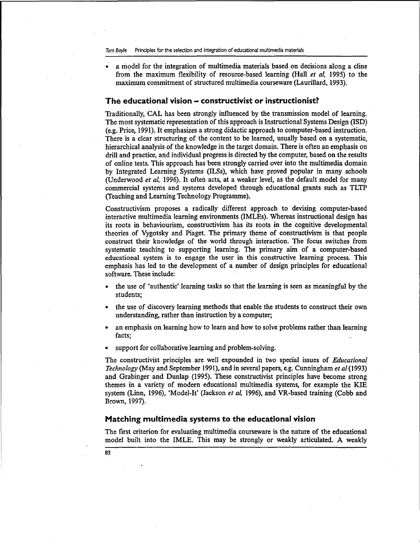• a model for the integration of multimedia materials based on decisions along a cline from the maximum flexibility of resource-based learning (Hall *et al,* 1995) to the maximum commitment of structured multimedia courseware (Laurillard, 1993).

#### **The educational vision - constructivist or instructionist?**

Traditionally, CAL has been strongly influenced by the transmission model of learning. The most systematic representation of this approach is Instructional Systems Design (ISD) (e.g. Price, 1991). It emphasizes a strong didactic approach to computer-based instruction. There is a clear structuring of the content to be learned, usually based on a systematic, hierarchical analysis of the knowledge in the target domain. There is often an emphasis on drill and practice, and individual progress is directed by the computer, based on the results of online tests. This approach has been strongly carried over into the multimedia domain by Integrated Learning Systems (ILSs), which have proved popular in many schools (Underwood *et al,* 1996). It often acts, at a weaker level, as the default model for many commercial systems and systems developed through educational grants such as TLTP (Teaching and Learning Technology Programme).

Constructivism proposes a radically different approach to devising computer-based interactive multimedia learning environments (IMLEs). Whereas instructional design has its roots in behaviourism, constructivism has its roots in the cognitive developmental theories of Vygotsky and Piaget. The primary theme of constructivism is that people construct their knowledge of the world through interaction. The focus switches from systematic teaching to supporting learning. The primary aim of a computer-based educational system is to engage the user in this constructive learning process. This emphasis has led to the development of a number of design principles for educational software. These include:

- the use of 'authentic' learning tasks so that the learning is seen as meaningful by the students;
- the use of discovery learning methods that enable the students to construct their own understanding, rather than instruction by a computer;
- an emphasis on learning how to learn and how to solve problems rather than learning facts;
- support for collaborative learning and problem-solving.

The constructivist principles are well expounded in two special issues of *Educational Technology* (May and September 1991), and in several papers, e.g. Cunningham *et al* (1993) and Grabinger and Dunlap (1995). These constructivist principles have become strong themes in a variety of modern educational multimedia systems, for example the KIE system (Linn, 1996), 'Model-It' (Jackson *et al,* 1996), and VR-based training (Cobb and Brown, 1997).

#### **Matching multimedia systems to the educational vision**

The first criterion for evaluating multimedia courseware is the nature of the educational model built into the IMLE. This may be strongly or weakly articulated. A weakly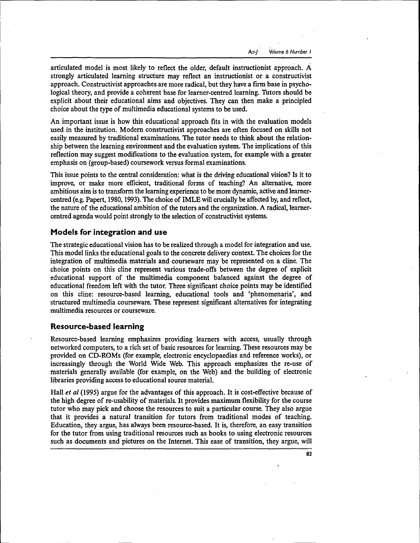articulated model is most likely to reflect the older, default instructionist approach. A strongly articulated learning structure may reflect an instructionist or a constructivist approach. Constructivist approaches are more radical, but they have a firm base in psychological theory, and provide a coherent base for learner-centred learning. Tutors should be explicit about their educational aims and objectives. They can then make a principled choice about the type of multimedia educational systems to be used.

An important issue is how this educational approach fits in with the evaluation models used in the institution. Modern constructivist approaches are often focused on skills not easily measured by traditional examinations. The tutor needs to think about the relationship between the learning environment and the evaluation system. The implications of this reflection may suggest modifications to the evaluation system, for example with a greater emphasis on (group-based) coursework versus formal examinations.

This issue points to the central consideration: what is the driving educational vision? Is it to improve, or make more efficient, traditional forms of teaching? An alternative, more ambitious aim is to transform the learning experience to be more dynamic, active and learnercentred (e.g. Papert, 1980,1993). The choice of IMLE will crucially be affected by, and reflect, the nature of the educational ambition of the tutors and the organization. A radical, learnercentred agenda would point strongly to the selection of constructivist systems.

#### **Models for integration and use**

The strategic educational vision has to be realized through a model for integration and use. This model links the educational goals to the concrete delivery context. The choices for the integration of multimedia materials and courseware may be represented on a cline. The choice points on this cline represent various trade-offs between the degree of explicit educational support of the multimedia component balanced against the degree of educational freedom left with the tutor. Three significant choice points may be identified on this cline: resource-based learning, educational tools and 'phenomenaria', and structured multimedia courseware. These represent significant alternatives for integrating multimedia resources or courseware.

### **Resource-based learning**

Resource-based learning emphasizes providing learners with access, usually through networked computers, to a rich set of basic resources for learning. These resources may be provided on CD-ROMs (for example, electronic encyclopaedias and reference works), or increasingly through the World Wide Web. This approach emphasizes the re-use of materials generally available (for example, on the Web) and the building of electronic libraries providing access to educational source material.

Hall *et al* (1995) argue for the advantages of this approach. It is cost-effective because of the high degree of re-usability of materials. It provides maximum flexibility for the course tutor who may pick and choose the resources to suit a particular course. They also argue that it provides a natural transition for tutors from traditional modes of teaching. Education, they argue, has always been resource-based. It is, therefore, an easy transition for the tutor from using traditional resources such as books to using electronic resources such as documents and pictures on the Internet. This ease of transition, they argue, will

83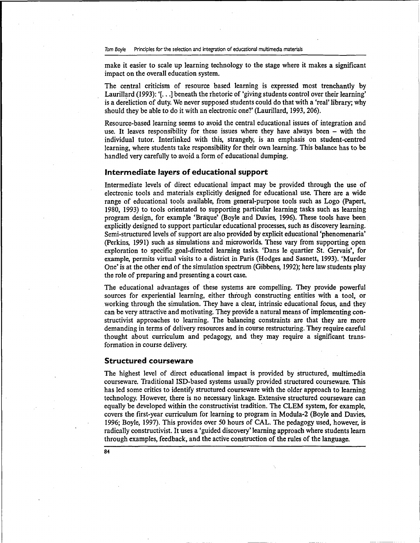make it easier to scale up learning technology to the stage where it makes a significant impact on the overall education system.

The central criticism of resource based learning is expressed most trenchantly by Laurillard (1993): '[...] beneath the rhetoric of 'giving students control over their learning' is a dereliction of duty. We never supposed students could do that with a 'real' library; why should they be able to do it with an electronic one?' (Laurillard, 1993,206).

Resource-based learning seems to avoid the central educational issues of integration and use. It leaves responsibility for these issues where they have always been  $-$  with the individual tutor. Interlinked with this, strangely, is an emphasis on student-centred learning, where students take responsibility for their own learning. This balance has to be handled very carefully to avoid a form of educational dumping.

#### **Intermediate layers of educational support**

Intermediate levels of direct educational impact may be provided through the use of electronic tools and materials explicitly designed for educational use. There are a wide range of educational tools available, from general-purpose tools such as Logo (Papert, 1980, 1993) to tools orientated to supporting particular learning tasks such as learning program design, for example 'Bratque' (Boyle and Davies, 1996). These tools have been explicitly designed to support particular educational processes, such as discovery learning. Semi-structured levels of support are also provided by explicit educational 'phenomenaria' (Perkins, 1991) such as simulations and microworlds. These vary from supporting open exploration to specific goal-directed learning tasks. 'Dans le quartier St. Gervais', for example, permits virtual visits to a district in Paris (Hodges and Sasnett, 1993). 'Murder One' is at the other end of the simulation spectrum (Gibbens, 1992); here law students play the role of preparing and presenting a court case.

The educational advantages of these systems are compelling. They provide powerful sources for experiential learning, either through constructing entities with a tool, or working through the simulation. They have a clear, intrinsic educational focus, and they can be very attractive and motivating. They provide a natural means of implementing constructivist approaches to learning. The balancing constraints are that they are more demanding in terms of delivery resources and in course restructuring. They require careful thought about curriculum and pedagogy, and they may require a significant transformation in course delivery.

#### **Structured courseware**

The highest level of direct educational impact is provided by structured, multimedia courseware. Traditional ISD-based systems usually provided structured courseware. This has led some critics to identify structured courseware with the older approach to learning technology. However, there is no necessary linkage. Extensive structured courseware can equally be developed within the constructivist tradition. The CLEM system, for example, covers the first-year curriculum for learning to program in Modula-2 (Boyle and Davies, 1996; Boyle, 1997). This provides over 50 hours of CAL. The pedagogy used, however, is radically constructivist. It uses a 'guided discovery' learning approach where students learn through examples, feedback, and the active construction of the rules of the language.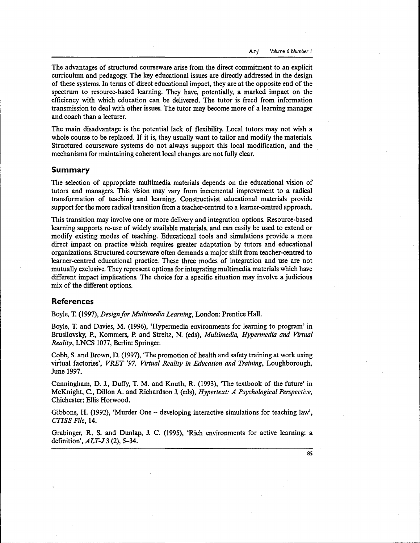The advantages of structured courseware arise from the direct commitment to an explicit curriculum and pedagogy. The key educational issues are directly addressed in the design of these systems. In terms of direct educational impact, they are at the opposite end of the spectrum to resource-based learning. They have, potentially, a marked impact on the efficiency with which education can be delivered. The tutor is freed from information transmission to deal with other issues. The tutor may become more of a learning manager and coach than a lecturer.

The main disadvantage is the potential lack of flexibility. Local tutors may not wish a whole course to be replaced. If it is, they usually want to tailor and modify the materials. Structured courseware systems do not always support this local modification, and the mechanisms for maintaining coherent local changes are not fully clear.

## **Summary**

The selection of appropriate multimedia materials depends on the educational vision of tutors and managers. This vision may vary from incremental improvement to a radical transformation of teaching and learning. Constructivist educational materials provide support for the more radical transition from a teacher-centred to a learner-centred approach.

This transition may involve one or more delivery and integration options. Resource-based learning supports re-use of widely available materials, and can easily be used to extend or modify existing modes of teaching. Educational tools and simulations provide a more direct impact on practice which requires greater adaptation by tutors and educational organizations. Structured courseware often demands a major shift from teacher-centred to learner-centred educational practice. These three modes of integration and use are not mutually exclusive. They represent options for integrating multimedia materials which have different impact implications. The choice for a specific situation may involve a judicious mix of the different options.

#### **References**

Boyle, T. (1997), *Design for Multimedia Learning,* London: Prentice Hall.

Boyle, T. and Davies, M. (1996), 'Hypermedia environments for learning to program' in Brusilovsky, P., Kommers, P. and Streitz, N. (eds), *Multimedia, Hypermedia and Virtual Reality,* LNCS 1077, Berlin: Springer.

Cobb, S. and Brown, D. (1997), "The promotion of health and safety training at work using virtual factories', *VRET '97, Virtual Reality in Education and Training,* Loughborough, June 1997.

Cunningham, D. I, Duffy, T. M. and Knuth, R. (1993), 'The textbook of the future' in McKnight, C, Dillon A. and Richardson J. (eds), *Hypertext: A Psychological Perspective,* Chichester: Ellis Horwood.

Gibbons, H. (1992), 'Murder One  $-$  developing interactive simulations for teaching law', *CTISS File,* 14.

Grabinger, R. S. and Dunlap, J. C. (1995), 'Rich environments for active learning: a definition', *ALT-J* 3 (2), 5-34.

**85**